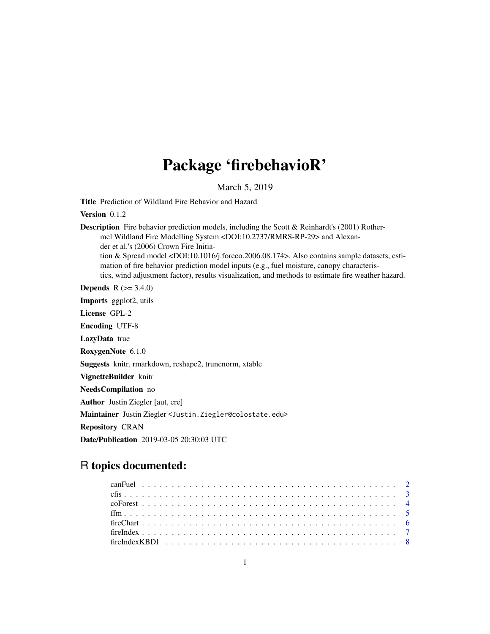## Package 'firebehavioR'

March 5, 2019

Title Prediction of Wildland Fire Behavior and Hazard

Version 0.1.2

**Description** Fire behavior prediction models, including the Scott  $\&$  Reinhardt's (2001) Rothermel Wildland Fire Modelling System <DOI:10.2737/RMRS-RP-29> and Alexander et al.'s (2006) Crown Fire Initiation & Spread model <DOI:10.1016/j.foreco.2006.08.174>. Also contains sample datasets, estimation of fire behavior prediction model inputs (e.g., fuel moisture, canopy characteristics, wind adjustment factor), results visualization, and methods to estimate fire weather hazard.

**Depends** R  $(>= 3.4.0)$ 

Imports ggplot2, utils

License GPL-2

Encoding UTF-8

LazyData true

RoxygenNote 6.1.0

Suggests knitr, rmarkdown, reshape2, truncnorm, xtable

VignetteBuilder knitr

NeedsCompilation no

Author Justin Ziegler [aut, cre]

Maintainer Justin Ziegler <Justin.Ziegler@colostate.edu>

Repository CRAN

Date/Publication 2019-03-05 20:30:03 UTC

### R topics documented: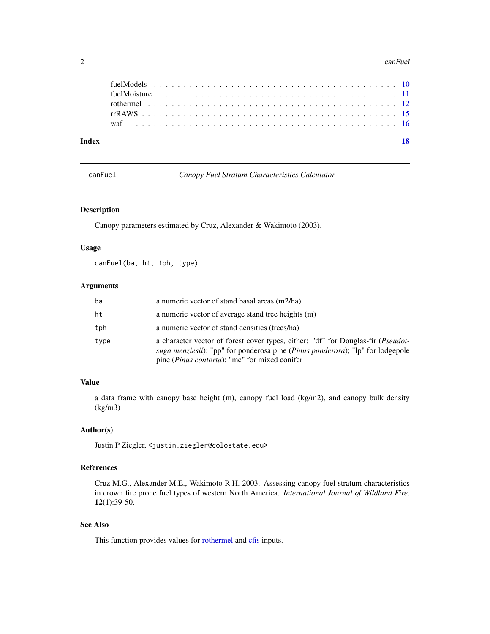#### <span id="page-1-0"></span> $2 \cos \theta$  can Fuel  $\theta$  can Fuel  $\theta$  can Fuel  $\theta$  can Fuel  $\theta$  can Fuel  $\theta$

| Index |  |  |
|-------|--|--|
|       |  |  |
|       |  |  |
|       |  |  |
|       |  |  |
|       |  |  |

canFuel *Canopy Fuel Stratum Characteristics Calculator*

#### Description

Canopy parameters estimated by Cruz, Alexander & Wakimoto (2003).

#### Usage

canFuel(ba, ht, tph, type)

#### Arguments

| ba   | a numeric vector of stand basal areas (m2/ha)                                                                                                                                                                                                         |
|------|-------------------------------------------------------------------------------------------------------------------------------------------------------------------------------------------------------------------------------------------------------|
| ht   | a numeric vector of average stand tree heights (m)                                                                                                                                                                                                    |
| tph  | a numeric vector of stand densities (trees/ha)                                                                                                                                                                                                        |
| type | a character vector of forest cover types, either: "df" for Douglas-fir ( <i>Pseudot</i> -<br><i>suga menziesii</i> ); "pp" for ponderosa pine <i>(Pinus ponderosa)</i> ; "lp" for lodgepole<br>pine ( <i>Pinus contorta</i> ); "mc" for mixed conifer |

#### Value

a data frame with canopy base height (m), canopy fuel load (kg/m2), and canopy bulk density (kg/m3)

#### Author(s)

Justin P Ziegler, <justin.ziegler@colostate.edu>

#### References

Cruz M.G., Alexander M.E., Wakimoto R.H. 2003. Assessing canopy fuel stratum characteristics in crown fire prone fuel types of western North America. *International Journal of Wildland Fire*. 12(1):39-50.

#### See Also

This function provides values for [rothermel](#page-11-1) and [cfis](#page-2-1) inputs.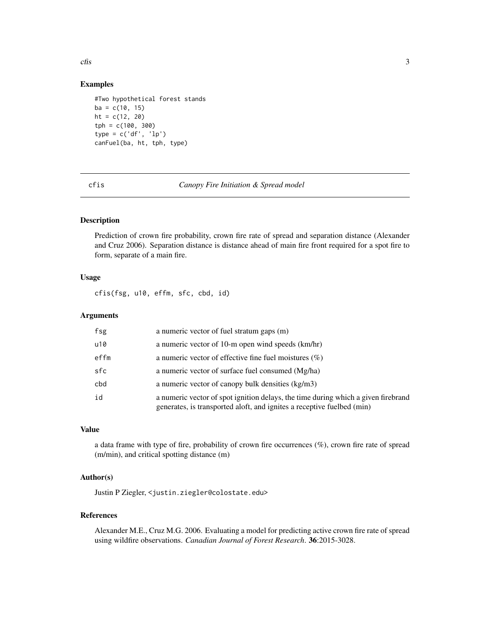<span id="page-2-0"></span> $\epsilon$ fis  $\frac{3}{2}$ 

#### Examples

```
#Two hypothetical forest stands
ba = c(10, 15)ht = c(12, 20)tph = c(100, 300)
type = c('df', 'lp')
canFuel(ba, ht, tph, type)
```
<span id="page-2-1"></span>cfis *Canopy Fire Initiation & Spread model*

#### Description

Prediction of crown fire probability, crown fire rate of spread and separation distance (Alexander and Cruz 2006). Separation distance is distance ahead of main fire front required for a spot fire to form, separate of a main fire.

#### Usage

cfis(fsg, u10, effm, sfc, cbd, id)

#### Arguments

| fsg  | a numeric vector of fuel stratum gaps (m)                                                                                                                   |
|------|-------------------------------------------------------------------------------------------------------------------------------------------------------------|
| u10  | a numeric vector of 10-m open wind speeds (km/hr)                                                                                                           |
| effm | a numeric vector of effective fine fuel moistures $(\%)$                                                                                                    |
| sfc  | a numeric vector of surface fuel consumed (Mg/ha)                                                                                                           |
| cbd  | a numeric vector of canopy bulk densities (kg/m3)                                                                                                           |
| id   | a numeric vector of spot ignition delays, the time during which a given firebrand<br>generates, is transported aloft, and ignites a receptive fuelbed (min) |

#### Value

a data frame with type of fire, probability of crown fire occurrences (%), crown fire rate of spread (m/min), and critical spotting distance (m)

#### Author(s)

Justin P Ziegler, <justin.ziegler@colostate.edu>

#### References

Alexander M.E., Cruz M.G. 2006. Evaluating a model for predicting active crown fire rate of spread using wildfire observations. *Canadian Journal of Forest Research*. 36:2015-3028.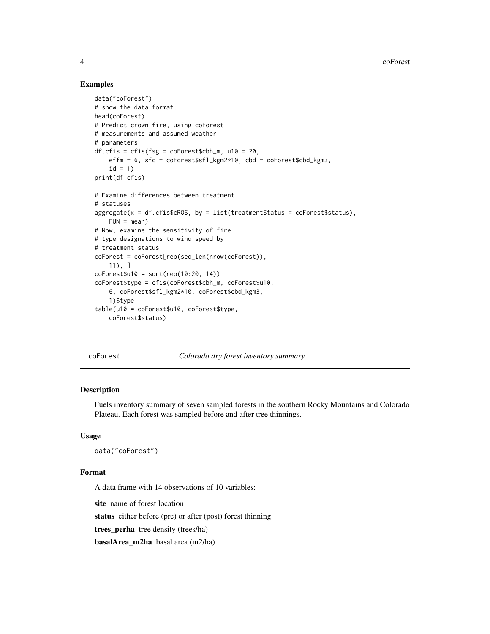#### Examples

```
data("coForest")
# show the data format:
head(coForest)
# Predict crown fire, using coForest
# measurements and assumed weather
# parameters
df.cfis = cris(fsg = coForestSch_m, u10 = 20,effm = 6, sfc = coForest$sfl_kgm2*10, cbd = coForest$cbd_kgm3,
    id = 1)print(df.cfis)
# Examine differences between treatment
# statuses
aggregate(x = df.cfis$cROS, by = list(treatmentStatus = coforest$status),FUN = mean)# Now, examine the sensitivity of fire
# type designations to wind speed by
# treatment status
coForest = coForest[rep(seq_len(nrow(coForest)),
    11), ]
coForest$u10 = sort(rep(10:20, 14))coForest$type = cfis(coForest$cbh_m, coForest$u10,
    6, coForest$sfl_kgm2*10, coForest$cbd_kgm3,
    1)$type
table(u10 = coForest$u10, coForest$type,
    coForest$status)
```
coForest *Colorado dry forest inventory summary.*

#### Description

Fuels inventory summary of seven sampled forests in the southern Rocky Mountains and Colorado Plateau. Each forest was sampled before and after tree thinnings.

#### Usage

```
data("coForest")
```
#### Format

A data frame with 14 observations of 10 variables:

site name of forest location

status either before (pre) or after (post) forest thinning

trees\_perha tree density (trees/ha)

basalArea\_m2ha basal area (m2/ha)

<span id="page-3-0"></span>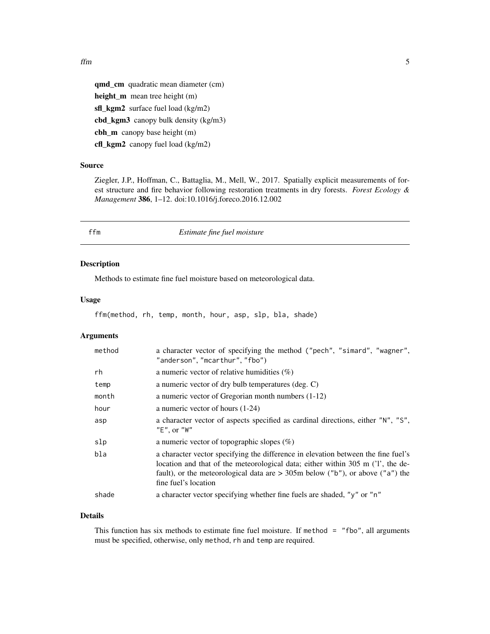<span id="page-4-0"></span>qmd\_cm quadratic mean diameter (cm) height\_m mean tree height (m) sfl\_kgm2 surface fuel load (kg/m2) cbd\_kgm3 canopy bulk density (kg/m3) cbh\_m canopy base height (m) cfl\_kgm2 canopy fuel load (kg/m2)

#### Source

Ziegler, J.P., Hoffman, C., Battaglia, M., Mell, W., 2017. Spatially explicit measurements of forest structure and fire behavior following restoration treatments in dry forests. *Forest Ecology & Management* 386, 1–12. doi:10.1016/j.foreco.2016.12.002

ffm *Estimate fine fuel moisture*

#### Description

Methods to estimate fine fuel moisture based on meteorological data.

#### Usage

ffm(method, rh, temp, month, hour, asp, slp, bla, shade)

#### Arguments

| method | a character vector of specifying the method ("pech", "simard", "wagner",<br>"anderson", "mcarthur", "fbo")                                                                                                                                                                      |
|--------|---------------------------------------------------------------------------------------------------------------------------------------------------------------------------------------------------------------------------------------------------------------------------------|
| rh     | a numeric vector of relative humidities $(\%)$                                                                                                                                                                                                                                  |
| temp   | a numeric vector of dry bulb temperatures (deg. C)                                                                                                                                                                                                                              |
| month  | a numeric vector of Gregorian month numbers (1-12)                                                                                                                                                                                                                              |
| hour   | a numeric vector of hours $(1-24)$                                                                                                                                                                                                                                              |
| asp    | a character vector of aspects specified as cardinal directions, either "N", "S",<br>"E", or "W"                                                                                                                                                                                 |
| slp    | a numeric vector of topographic slopes $(\%)$                                                                                                                                                                                                                                   |
| bla    | a character vector specifying the difference in elevation between the fine fuel's<br>location and that of the meteorological data; either within 305 m ('1', the de-<br>fault), or the meteorological data are $>$ 305m below ("b"), or above ("a") the<br>fine fuel's location |
| shade  | a character vector specifying whether fine fuels are shaded, "y" or "n"                                                                                                                                                                                                         |

#### Details

This function has six methods to estimate fine fuel moisture. If method = "fbo", all arguments must be specified, otherwise, only method, rh and temp are required.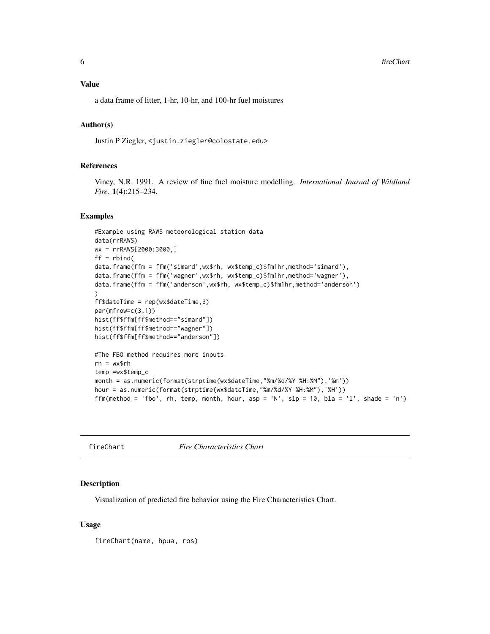#### <span id="page-5-0"></span>Value

a data frame of litter, 1-hr, 10-hr, and 100-hr fuel moistures

#### Author(s)

Justin P Ziegler, <justin.ziegler@colostate.edu>

#### References

Viney, N.R. 1991. A review of fine fuel moisture modelling. *International Journal of Wildland Fire*. 1(4):215–234.

#### Examples

```
#Example using RAWS meteorological station data
data(rrRAWS)
wx = rrRAWS[2000:3000,]
ff = rbind(data.frame(ffm = ffm('simard',wx$rh, wx$temp_c)$fm1hr,method='simard'),
data.frame(ffm = ffm('wagner',wx$rh, wx$temp_c)$fm1hr,method='wagner'),
data.frame(ffm = ffm('anderson',wx$rh, wx$temp_c)$fm1hr,method='anderson')
)
ff$dateTime = rep(wx$dateTime,3)
par(mfrow=c(3,1))
hist(ff$ffm[ff$method=="simard"])
hist(ff$ffm[ff$method=="wagner"])
hist(ff$ffm[ff$method=="anderson"])
#The FBO method requires more inputs
rh = wx$rh
temp =wx$temp_c
month = as.numeric(format(strptime(wx$dateTime,"%m/%d/%Y %H:%M"),'%m'))
hour = as.numeric(format(strptime(wx$dateTime,"%m/%d/%Y %H:%M"),'%H'))
ffm(method = 'fbo', rh, temp, month, hour, asp = 'N', slp = 10, bla = 'l', shade = 'n')
```
fireChart *Fire Characteristics Chart*

#### Description

Visualization of predicted fire behavior using the Fire Characteristics Chart.

#### Usage

fireChart(name, hpua, ros)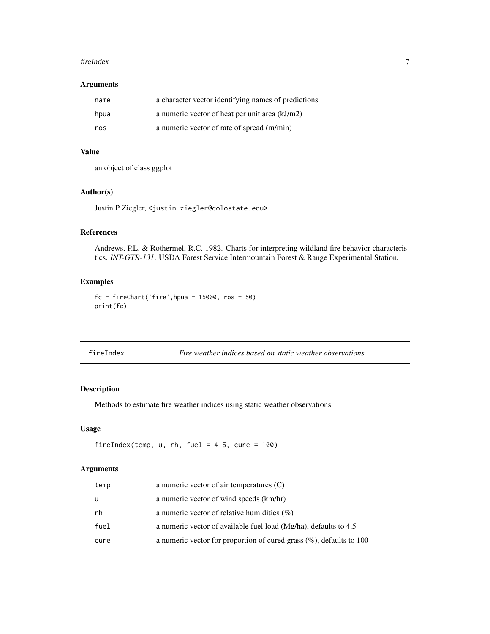#### <span id="page-6-0"></span>fireIndex 7

#### Arguments

| name | a character vector identifying names of predictions |
|------|-----------------------------------------------------|
| hpua | a numeric vector of heat per unit area (kJ/m2)      |
| ros  | a numeric vector of rate of spread (m/min)          |

#### Value

an object of class ggplot

#### Author(s)

Justin P Ziegler, <justin.ziegler@colostate.edu>

#### References

Andrews, P.L. & Rothermel, R.C. 1982. Charts for interpreting wildland fire behavior characteristics. *INT-GTR-131*. USDA Forest Service Intermountain Forest & Range Experimental Station.

#### Examples

 $fc = fireChart('fire', hpua = 15000, ros = 50)$ print(fc)

| fireIndex |  |
|-----------|--|

Fire weather indices based on static weather observations

#### Description

Methods to estimate fire weather indices using static weather observations.

#### Usage

```
fireIndex(temp, u, rh, fuel = 4.5, cure = 100)
```
#### Arguments

| temp | a numeric vector of air temperatures $(C)$                              |
|------|-------------------------------------------------------------------------|
| - u  | a numeric vector of wind speeds (km/hr)                                 |
| rh   | a numeric vector of relative humidities $(\%)$                          |
| fuel | a numeric vector of available fuel load (Mg/ha), defaults to 4.5        |
| cure | a numeric vector for proportion of cured grass $(\%)$ , defaults to 100 |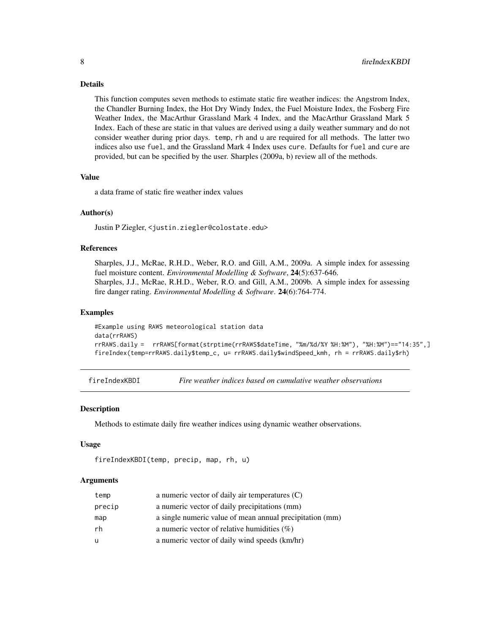#### Details

This function computes seven methods to estimate static fire weather indices: the Angstrom Index, the Chandler Burning Index, the Hot Dry Windy Index, the Fuel Moisture Index, the Fosberg Fire Weather Index, the MacArthur Grassland Mark 4 Index, and the MacArthur Grassland Mark 5 Index. Each of these are static in that values are derived using a daily weather summary and do not consider weather during prior days. temp, rh and u are required for all methods. The latter two indices also use fuel, and the Grassland Mark 4 Index uses cure. Defaults for fuel and cure are provided, but can be specified by the user. Sharples (2009a, b) review all of the methods.

#### Value

a data frame of static fire weather index values

#### Author(s)

Justin P Ziegler, <justin.ziegler@colostate.edu>

#### References

Sharples, J.J., McRae, R.H.D., Weber, R.O. and Gill, A.M., 2009a. A simple index for assessing fuel moisture content. *Environmental Modelling & Software*, 24(5):637-646. Sharples, J.J., McRae, R.H.D., Weber, R.O. and Gill, A.M., 2009b. A simple index for assessing fire danger rating. *Environmental Modelling & Software*. 24(6):764-774.

#### Examples

```
#Example using RAWS meteorological station data
data(rrRAWS)
rrRAWS.daily = rrRAWS[format(strptime(rrRAWS$dateTime, "%m/%d/%Y %H:%M"), "%H:%M")=="14:35",]
fireIndex(temp=rrRAWS.daily$temp_c, u= rrRAWS.daily$windSpeed_kmh, rh = rrRAWS.daily$rh)
```
fireIndexKBDI *Fire weather indices based on cumulative weather observations*

#### Description

Methods to estimate daily fire weather indices using dynamic weather observations.

#### Usage

```
fireIndexKBDI(temp, precip, map, rh, u)
```
#### Arguments

| temp   | a numeric vector of daily air temperatures (C)           |
|--------|----------------------------------------------------------|
| precip | a numeric vector of daily precipitations (mm)            |
| map    | a single numeric value of mean annual precipitation (mm) |
| rh     | a numeric vector of relative humidities $(\%)$           |
| u      | a numeric vector of daily wind speeds (km/hr)            |

<span id="page-7-0"></span>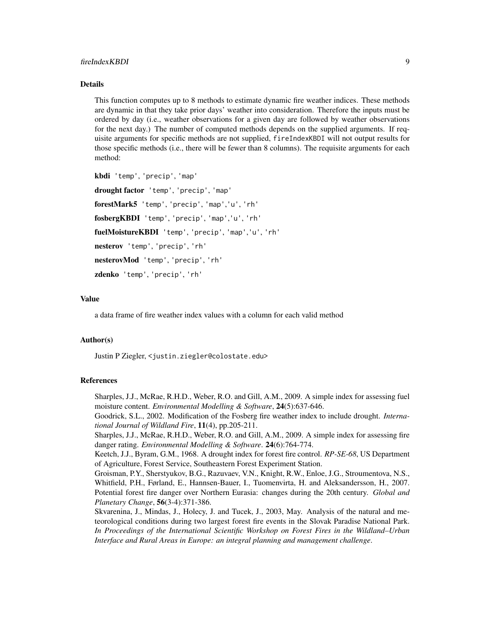#### Details

This function computes up to 8 methods to estimate dynamic fire weather indices. These methods are dynamic in that they take prior days' weather into consideration. Therefore the inputs must be ordered by day (i.e., weather observations for a given day are followed by weather observations for the next day.) The number of computed methods depends on the supplied arguments. If requisite arguments for specific methods are not supplied, fireIndexKBDI will not output results for those specific methods (i.e., there will be fewer than 8 columns). The requisite arguments for each method:

```
kbdi 'temp', 'precip', 'map'
drought factor 'temp', 'precip', 'map'
forestMark5 'temp', 'precip', 'map','u', 'rh'
fosbergKBDI 'temp', 'precip', 'map','u', 'rh'
fuelMoistureKBDI 'temp', 'precip', 'map','u', 'rh'
nesterov 'temp', 'precip', 'rh'
nesterovMod 'temp', 'precip', 'rh'
zdenko 'temp', 'precip', 'rh'
```
#### Value

a data frame of fire weather index values with a column for each valid method

#### Author(s)

Justin P Ziegler, <justin.ziegler@colostate.edu>

#### References

Sharples, J.J., McRae, R.H.D., Weber, R.O. and Gill, A.M., 2009. A simple index for assessing fuel moisture content. *Environmental Modelling & Software*, 24(5):637-646.

Goodrick, S.L., 2002. Modification of the Fosberg fire weather index to include drought. *International Journal of Wildland Fire*, 11(4), pp.205-211.

Sharples, J.J., McRae, R.H.D., Weber, R.O. and Gill, A.M., 2009. A simple index for assessing fire danger rating. *Environmental Modelling & Software*. 24(6):764-774.

Keetch, J.J., Byram, G.M., 1968. A drought index for forest fire control. *RP-SE-68*, US Department of Agriculture, Forest Service, Southeastern Forest Experiment Station.

Groisman, P.Y., Sherstyukov, B.G., Razuvaev, V.N., Knight, R.W., Enloe, J.G., Stroumentova, N.S., Whitfield, P.H., Førland, E., Hannsen-Bauer, I., Tuomenvirta, H. and Aleksandersson, H., 2007. Potential forest fire danger over Northern Eurasia: changes during the 20th century. *Global and Planetary Change*, 56(3-4):371-386.

Skvarenina, J., Mindas, J., Holecy, J. and Tucek, J., 2003, May. Analysis of the natural and meteorological conditions during two largest forest fire events in the Slovak Paradise National Park. *In Proceedings of the International Scientific Workshop on Forest Fires in the Wildland–Urban Interface and Rural Areas in Europe: an integral planning and management challenge*.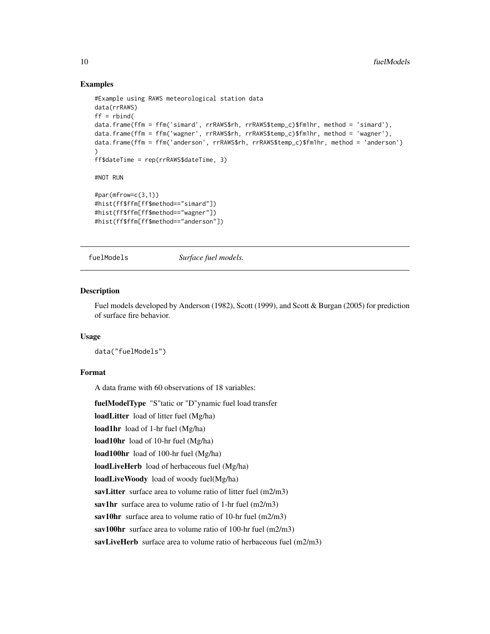#### Examples

```
#Example using RAWS meteorological station data
data(rrRAWS)
ff = rbind(data.frame(ffm = ffm('simard', rrRAWS$rh, rrRAWS$temp_c)$fm1hr, method = 'simard'),
data.frame(ffm = ffm('wagner', rrRAWS$rh, rrRAWS$temp_c)$fm1hr, method = 'wagner'),
data.frame(ffm = ffm('anderson', rrRAWS$rh, rrRAWS$temp_c)$fm1hr, method = 'anderson')
)
ff$dateTime = rep(rrRAWS$dateTime, 3)
#NOT RUN
#par(mfrow=c(3,1))
#hist(ff$ffm[ff$method=="simard"])
#hist(ff$ffm[ff$method=="wagner"])
#hist(ff$ffm[ff$method=="anderson"])
```
fuelModels *Surface fuel models.*

#### Description

Fuel models developed by Anderson (1982), Scott (1999), and Scott & Burgan (2005) for prediction of surface fire behavior.

#### Usage

data("fuelModels")

#### Format

A data frame with 60 observations of 18 variables:

fuelModelType "S"tatic or "D"ynamic fuel load transfer

loadLitter load of litter fuel (Mg/ha)

```
load1hr load of 1-hr fuel (Mg/ha)
```
load10hr load of 10-hr fuel (Mg/ha)

load100hr load of 100-hr fuel (Mg/ha)

loadLiveHerb load of herbaceous fuel (Mg/ha)

loadLiveWoody load of woody fuel(Mg/ha)

savLitter surface area to volume ratio of litter fuel (m2/m3)

sav1hr surface area to volume ratio of 1-hr fuel (m2/m3)

sav10hr surface area to volume ratio of 10-hr fuel (m2/m3)

sav100hr surface area to volume ratio of 100-hr fuel (m2/m3)

savLiveHerb surface area to volume ratio of herbaceous fuel (m2/m3)

<span id="page-9-0"></span>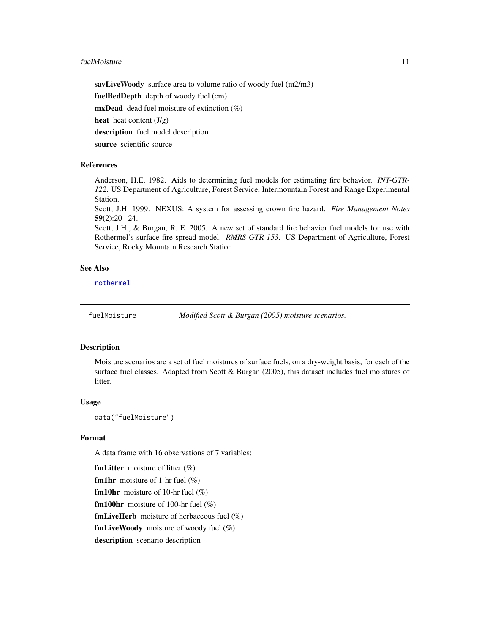#### <span id="page-10-0"></span>fuelMoisture 11

savLiveWoody surface area to volume ratio of woody fuel (m2/m3) fuelBedDepth depth of woody fuel (cm) **mxDead** dead fuel moisture of extinction  $(\%)$ heat heat content  $(J/g)$ description fuel model description source scientific source

#### **References**

Anderson, H.E. 1982. Aids to determining fuel models for estimating fire behavior. *INT-GTR-122*. US Department of Agriculture, Forest Service, Intermountain Forest and Range Experimental Station.

Scott, J.H. 1999. NEXUS: A system for assessing crown fire hazard. *Fire Management Notes* 59(2):20 –24.

Scott, J.H., & Burgan, R. E. 2005. A new set of standard fire behavior fuel models for use with Rothermel's surface fire spread model. *RMRS-GTR-153*. US Department of Agriculture, Forest Service, Rocky Mountain Research Station.

#### See Also

[rothermel](#page-11-1)

fuelMoisture *Modified Scott & Burgan (2005) moisture scenarios.*

#### Description

Moisture scenarios are a set of fuel moistures of surface fuels, on a dry-weight basis, for each of the surface fuel classes. Adapted from Scott & Burgan (2005), this dataset includes fuel moistures of litter.

#### Usage

data("fuelMoisture")

#### Format

A data frame with 16 observations of 7 variables:

**fmLitter** moisture of litter  $(\%)$ **fm1hr** moisture of 1-hr fuel  $(\%)$ **fm10hr** moisture of 10-hr fuel  $(\%)$ **fm100hr** moisture of 100-hr fuel  $(\%)$ **fmLiveHerb** moisture of herbaceous fuel  $(\%)$ fmLiveWoody moisture of woody fuel  $(\%)$ description scenario description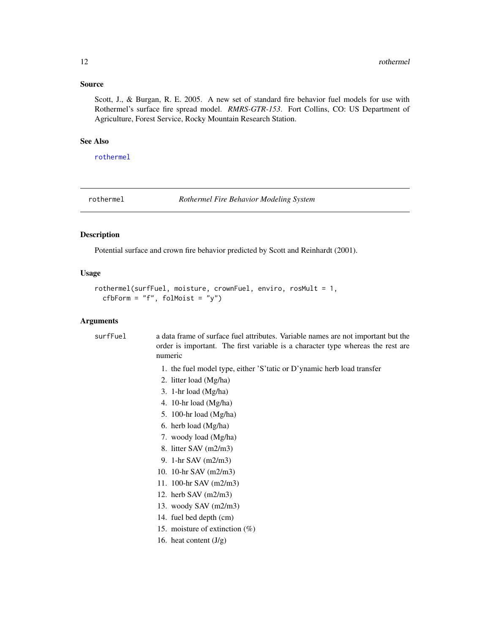#### <span id="page-11-0"></span>Source

Scott, J., & Burgan, R. E. 2005. A new set of standard fire behavior fuel models for use with Rothermel's surface fire spread model. *RMRS-GTR-153*. Fort Collins, CO: US Department of Agriculture, Forest Service, Rocky Mountain Research Station.

#### See Also

[rothermel](#page-11-1)

<span id="page-11-1"></span>rothermel *Rothermel Fire Behavior Modeling System*

#### Description

Potential surface and crown fire behavior predicted by Scott and Reinhardt (2001).

#### Usage

```
rothermel(surfFuel, moisture, crownFuel, enviro, rosMult = 1,
 cfbForm = "f", folMoist = "y")
```
#### Arguments

| surfFuel | a data frame of surface fuel attributes. Variable names are not important but the<br>order is important. The first variable is a character type whereas the rest are<br>numeric |
|----------|---------------------------------------------------------------------------------------------------------------------------------------------------------------------------------|
|          | 1. the fuel model type, either 'S' tatic or D' ynamic herb load transfer                                                                                                        |
|          | 2. litter load (Mg/ha)                                                                                                                                                          |
|          | 3. 1-hr load $(Mg/ha)$                                                                                                                                                          |
|          | 4. 10-hr load $(Mg/ha)$                                                                                                                                                         |
|          | 5. 100-hr load $(Mg/ha)$                                                                                                                                                        |
|          | 6. herb load (Mg/ha)                                                                                                                                                            |
|          | 7. woody load (Mg/ha)                                                                                                                                                           |
|          | 8. litter SAV $(m2/m3)$                                                                                                                                                         |
|          | 9. 1-hr SAV $(m2/m3)$                                                                                                                                                           |
|          | 10. 10-hr SAV $(m2/m3)$                                                                                                                                                         |
|          | 11. 100-hr SAV $(m2/m3)$                                                                                                                                                        |
|          | 12. herb SAV $(m2/m3)$                                                                                                                                                          |
|          | 13. woody SAV $(m2/m3)$                                                                                                                                                         |
|          | 14. fuel bed depth (cm)                                                                                                                                                         |
|          | 15. moisture of extinction $(\%)$                                                                                                                                               |
|          | 16. heat content $(J/g)$                                                                                                                                                        |
|          |                                                                                                                                                                                 |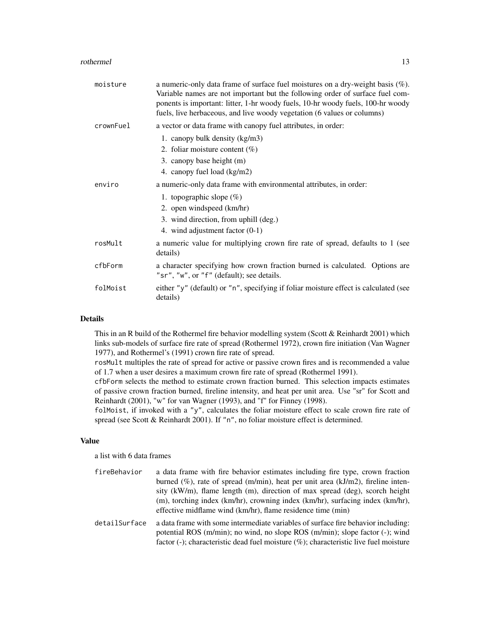#### rothermel and the state of the state of the state of the state of the state of the state of the state of the state of the state of the state of the state of the state of the state of the state of the state of the state of

| moisture  | a numeric-only data frame of surface fuel moistures on a dry-weight basis $(\%)$ .<br>Variable names are not important but the following order of surface fuel com-<br>ponents is important: litter, 1-hr woody fuels, 10-hr woody fuels, 100-hr woody<br>fuels, live herbaceous, and live woody vegetation (6 values or columns) |
|-----------|-----------------------------------------------------------------------------------------------------------------------------------------------------------------------------------------------------------------------------------------------------------------------------------------------------------------------------------|
| crownFuel | a vector or data frame with canopy fuel attributes, in order:                                                                                                                                                                                                                                                                     |
|           | 1. canopy bulk density (kg/m3)                                                                                                                                                                                                                                                                                                    |
|           | 2. foliar moisture content $(\%)$                                                                                                                                                                                                                                                                                                 |
|           | 3. canopy base height (m)                                                                                                                                                                                                                                                                                                         |
|           | 4. canopy fuel load (kg/m2)                                                                                                                                                                                                                                                                                                       |
| enviro    | a numeric-only data frame with environmental attributes, in order:                                                                                                                                                                                                                                                                |
|           | 1. topographic slope $(\%)$                                                                                                                                                                                                                                                                                                       |
|           | 2. open windspeed (km/hr)                                                                                                                                                                                                                                                                                                         |
|           | 3. wind direction, from uphill (deg.)                                                                                                                                                                                                                                                                                             |
|           | 4. wind adjustment factor $(0-1)$                                                                                                                                                                                                                                                                                                 |
| rosMult   | a numeric value for multiplying crown fire rate of spread, defaults to 1 (see<br>details)                                                                                                                                                                                                                                         |
| cfbForm   | a character specifying how crown fraction burned is calculated. Options are<br>"sr", "w", or "f" (default); see details.                                                                                                                                                                                                          |
| folMoist  | either "y" (default) or "n", specifying if foliar moisture effect is calculated (see<br>details)                                                                                                                                                                                                                                  |

#### Details

This in an R build of the Rothermel fire behavior modelling system (Scott & Reinhardt 2001) which links sub-models of surface fire rate of spread (Rothermel 1972), crown fire initiation (Van Wagner 1977), and Rothermel's (1991) crown fire rate of spread.

rosMult multiples the rate of spread for active or passive crown fires and is recommended a value of 1.7 when a user desires a maximum crown fire rate of spread (Rothermel 1991).

cfbForm selects the method to estimate crown fraction burned. This selection impacts estimates of passive crown fraction burned, fireline intensity, and heat per unit area. Use "sr" for Scott and Reinhardt (2001), "w" for van Wagner (1993), and "f" for Finney (1998).

folMoist, if invoked with a "y", calculates the foliar moisture effect to scale crown fire rate of spread (see Scott & Reinhardt 2001). If "n", no foliar moisture effect is determined.

#### Value

a list with 6 data frames

| fireBehavior  | a data frame with fire behavior estimates including fire type, crown fraction<br>burned (%), rate of spread (m/min), heat per unit area ( $kJ/m2$ ), fireline inten-                                                                                          |
|---------------|---------------------------------------------------------------------------------------------------------------------------------------------------------------------------------------------------------------------------------------------------------------|
|               | sity (kW/m), flame length (m), direction of max spread (deg), scorch height                                                                                                                                                                                   |
|               | (m), torching index (km/hr), crowning index (km/hr), surfacing index (km/hr),<br>effective midflame wind (km/hr), flame residence time (min)                                                                                                                  |
| detailSurface | a data frame with some intermediate variables of surface fire behavior including:<br>potential ROS (m/min); no wind, no slope ROS (m/min); slope factor (-); wind<br>factor (-); characteristic dead fuel moisture $(\%)$ ; characteristic live fuel moisture |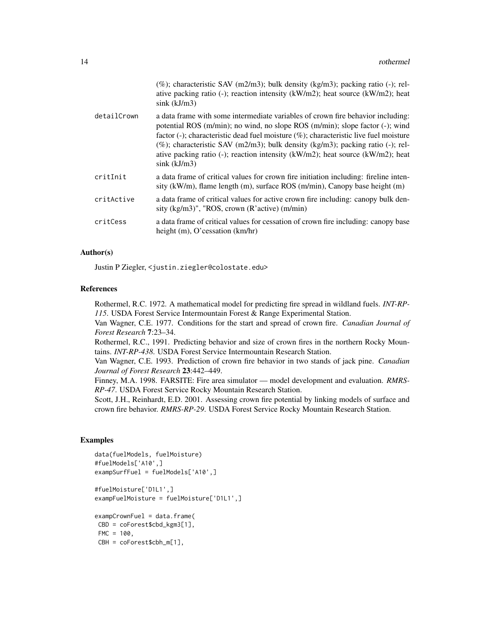|             | $(\%)$ ; characteristic SAV (m2/m3); bulk density (kg/m3); packing ratio (-); rel-<br>ative packing ratio (-); reaction intensity ( $kW/m2$ ); heat source ( $kW/m2$ ); heat<br>$sink$ ( $kJ/m3$ )                                                                                                                                                                                                                                                                |
|-------------|-------------------------------------------------------------------------------------------------------------------------------------------------------------------------------------------------------------------------------------------------------------------------------------------------------------------------------------------------------------------------------------------------------------------------------------------------------------------|
| detailCrown | a data frame with some intermediate variables of crown fire behavior including:<br>potential ROS (m/min); no wind, no slope ROS (m/min); slope factor (-); wind<br>factor (-); characteristic dead fuel moisture $(\%)$ ; characteristic live fuel moisture<br>$(\%)$ ; characteristic SAV (m2/m3); bulk density (kg/m3); packing ratio (-); rel-<br>ative packing ratio (-); reaction intensity ( $kW/m2$ ); heat source ( $kW/m2$ ); heat<br>$sink$ ( $kJ/m3$ ) |
| critInit    | a data frame of critical values for crown fire initiation including: fireline inten-<br>sity (kW/m), flame length (m), surface ROS (m/min), Canopy base height (m)                                                                                                                                                                                                                                                                                                |
| critActive  | a data frame of critical values for active crown fire including: canopy bulk den-<br>sity $(kg/m3)$ ", "ROS, crown $(R$ 'active) $(m/min)$                                                                                                                                                                                                                                                                                                                        |
| critCess    | a data frame of critical values for cessation of crown fire including: canopy base<br>height $(m)$ , O'cessation $(km/hr)$                                                                                                                                                                                                                                                                                                                                        |
|             |                                                                                                                                                                                                                                                                                                                                                                                                                                                                   |

#### Author(s)

Justin P Ziegler, <justin.ziegler@colostate.edu>

#### References

Rothermel, R.C. 1972. A mathematical model for predicting fire spread in wildland fuels. *INT-RP-115*. USDA Forest Service Intermountain Forest & Range Experimental Station.

Van Wagner, C.E. 1977. Conditions for the start and spread of crown fire. *Canadian Journal of Forest Research* 7:23–34.

Rothermel, R.C., 1991. Predicting behavior and size of crown fires in the northern Rocky Mountains. *INT-RP-438*. USDA Forest Service Intermountain Research Station.

Van Wagner, C.E. 1993. Prediction of crown fire behavior in two stands of jack pine. *Canadian Journal of Forest Research* 23:442–449.

Finney, M.A. 1998. FARSITE: Fire area simulator — model development and evaluation. *RMRS-RP-47*. USDA Forest Service Rocky Mountain Research Station.

Scott, J.H., Reinhardt, E.D. 2001. Assessing crown fire potential by linking models of surface and crown fire behavior. *RMRS-RP-29*. USDA Forest Service Rocky Mountain Research Station.

#### Examples

```
data(fuelModels, fuelMoisture)
#fuelModels['A10',]
exampSurfFuel = fuelModels['A10',]
#fuelMoisture['D1L1',]
exampFuelMoisture = fuelMoisture['D1L1',]
```

```
exampCrownFuel = data.frame(
CBD = coForest$cbd_kgm3[1],
FMC = 100,
CBH = coForest$cbh_m[1],
```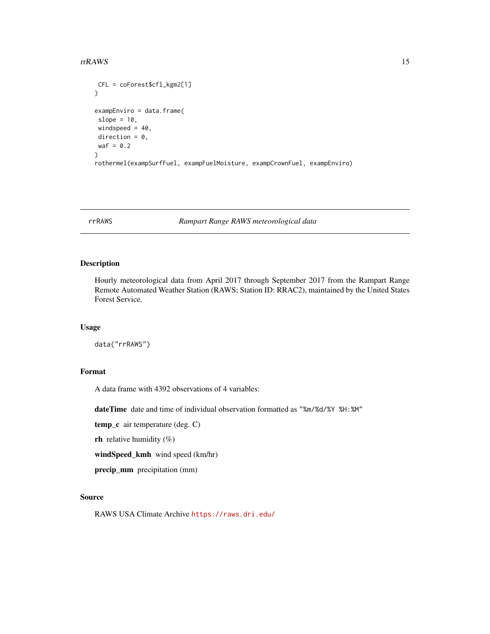#### <span id="page-14-0"></span>rrRAWS 15

```
CFL = coForest$cfl_kgm2[1]
\mathcal{L}exampEnviro = data.frame(
slope = 10,
windspeed = 40,
direction = 0,
waf = 0.2\lambdarothermel(exampSurfFuel, exampFuelMoisture, exampCrownFuel, exampEnviro)
```
rrRAWS *Rampart Range RAWS meteorological data*

#### Description

Hourly meteorological data from April 2017 through September 2017 from the Rampart Range Remote Automated Weather Station (RAWS; Station ID: RRAC2), maintained by the United States Forest Service.

#### Usage

data("rrRAWS")

#### Format

A data frame with 4392 observations of 4 variables:

dateTime date and time of individual observation formatted as "%m/%d/%Y %H:%M"

temp\_c air temperature (deg. C)

rh relative humidity  $(\%)$ 

windSpeed\_kmh wind speed (km/hr)

precip\_mm precipitation (mm)

#### Source

RAWS USA Climate Archive <https://raws.dri.edu/>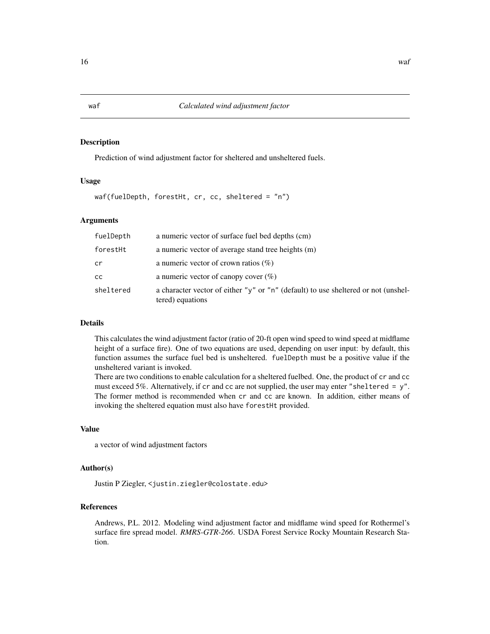#### Description

Prediction of wind adjustment factor for sheltered and unsheltered fuels.

#### Usage

waf(fuelDepth, forestHt, cr, cc, sheltered = "n")

#### Arguments

| fuelDepth | a numeric vector of surface fuel bed depths (cm)                                                       |
|-----------|--------------------------------------------------------------------------------------------------------|
| forestHt  | a numeric vector of average stand tree heights (m)                                                     |
| cr        | a numeric vector of crown ratios $(\%)$                                                                |
| CC.       | a numeric vector of canopy cover $(\%)$                                                                |
| sheltered | a character vector of either "y" or "n" (default) to use sheltered or not (unshel-<br>tered) equations |

#### Details

This calculates the wind adjustment factor (ratio of 20-ft open wind speed to wind speed at midflame height of a surface fire). One of two equations are used, depending on user input: by default, this function assumes the surface fuel bed is unsheltered. fuelDepth must be a positive value if the unsheltered variant is invoked.

There are two conditions to enable calculation for a sheltered fuelbed. One, the product of cr and cc must exceed 5%. Alternatively, if cr and cc are not supplied, the user may enter "sheltered = y". The former method is recommended when cr and cc are known. In addition, either means of invoking the sheltered equation must also have forestHt provided.

#### Value

a vector of wind adjustment factors

#### Author(s)

Justin P Ziegler, <justin.ziegler@colostate.edu>

#### References

Andrews, P.L. 2012. Modeling wind adjustment factor and midflame wind speed for Rothermel's surface fire spread model. *RMRS-GTR-266*. USDA Forest Service Rocky Mountain Research Station.

<span id="page-15-0"></span>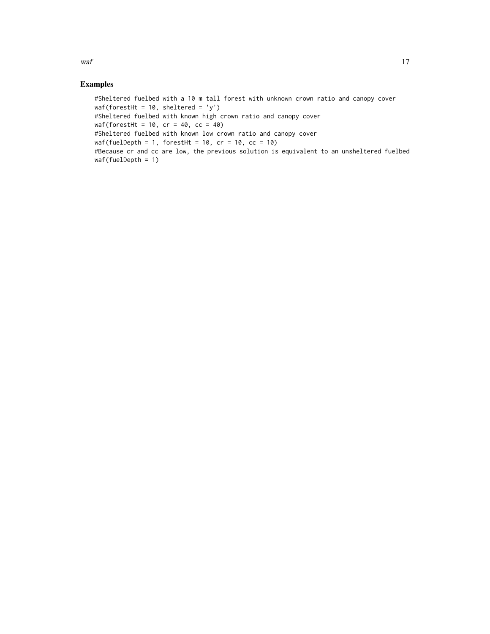$waf$  17

#### Examples

#Sheltered fuelbed with a 10 m tall forest with unknown crown ratio and canopy cover  $waf(forestHt = 10, shelltered = 'y')$ #Sheltered fuelbed with known high crown ratio and canopy cover  $waf(forestHt = 10, cr = 40, cc = 40)$ #Sheltered fuelbed with known low crown ratio and canopy cover waf(fuelDepth = 1, forestHt = 10,  $cr = 10$ ,  $cc = 10$ ) #Because cr and cc are low, the previous solution is equivalent to an unsheltered fuelbed waf(fuelDepth = 1)